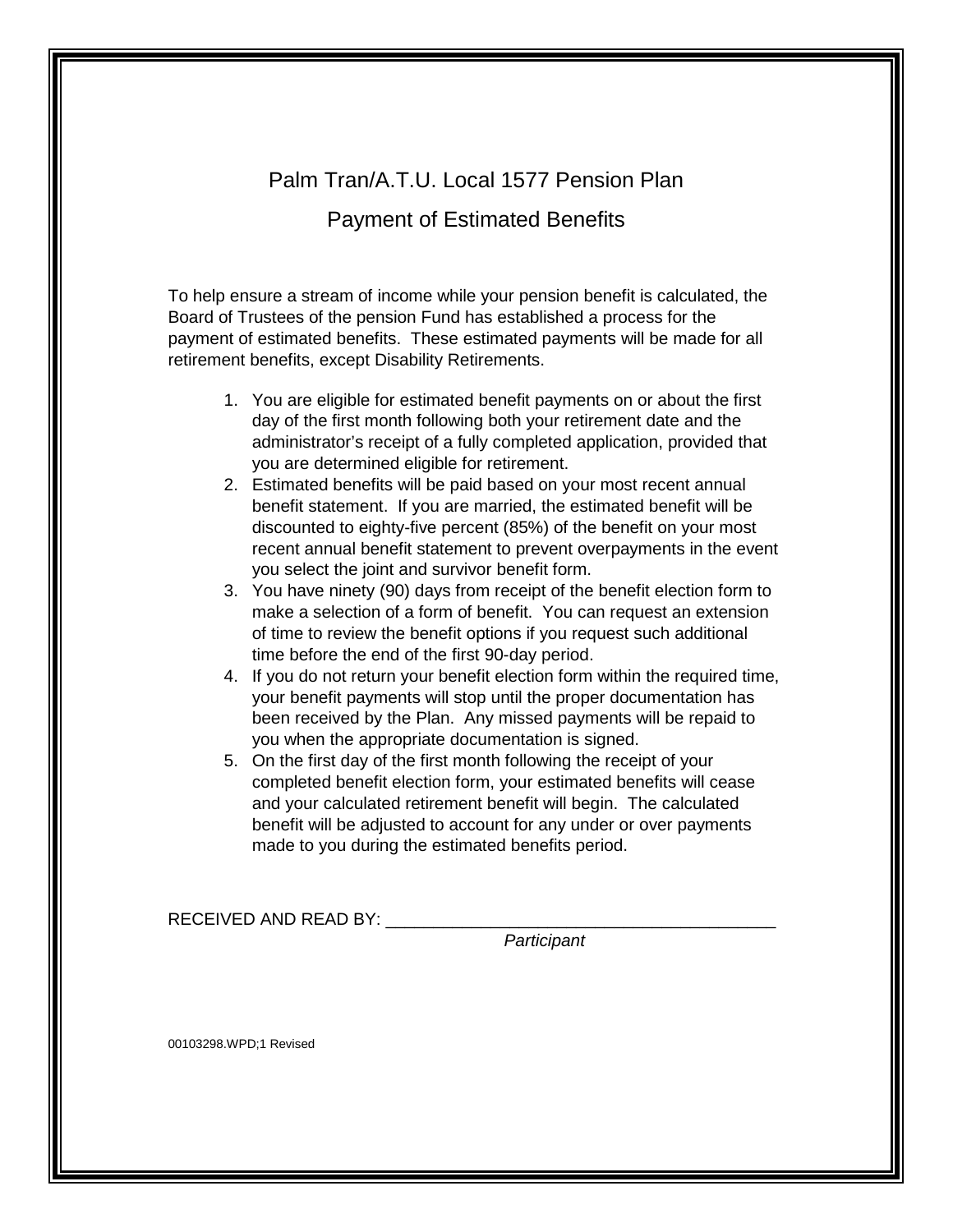# Palm Tran/A.T.U. Local 1577 Pension Plan

# Payment of Estimated Benefits

To help ensure a stream of income while your pension benefit is calculated, the Board of Trustees of the pension Fund has established a process for the payment of estimated benefits. These estimated payments will be made for all retirement benefits, except Disability Retirements.

- 1. You are eligible for estimated benefit payments on or about the first day of the first month following both your retirement date and the administrator's receipt of a fully completed application, provided that you are determined eligible for retirement.
- 2. Estimated benefits will be paid based on your most recent annual benefit statement. If you are married, the estimated benefit will be discounted to eighty-five percent (85%) of the benefit on your most recent annual benefit statement to prevent overpayments in the event you select the joint and survivor benefit form.
- 3. You have ninety (90) days from receipt of the benefit election form to make a selection of a form of benefit. You can request an extension of time to review the benefit options if you request such additional time before the end of the first 90-day period.
- 4. If you do not return your benefit election form within the required time, your benefit payments will stop until the proper documentation has been received by the Plan. Any missed payments will be repaid to you when the appropriate documentation is signed.
- 5. On the first day of the first month following the receipt of your completed benefit election form, your estimated benefits will cease and your calculated retirement benefit will begin. The calculated benefit will be adjusted to account for any under or over payments made to you during the estimated benefits period.

RECEIVED AND READ BY:

*Participant*

00103298.WPD;1 Revised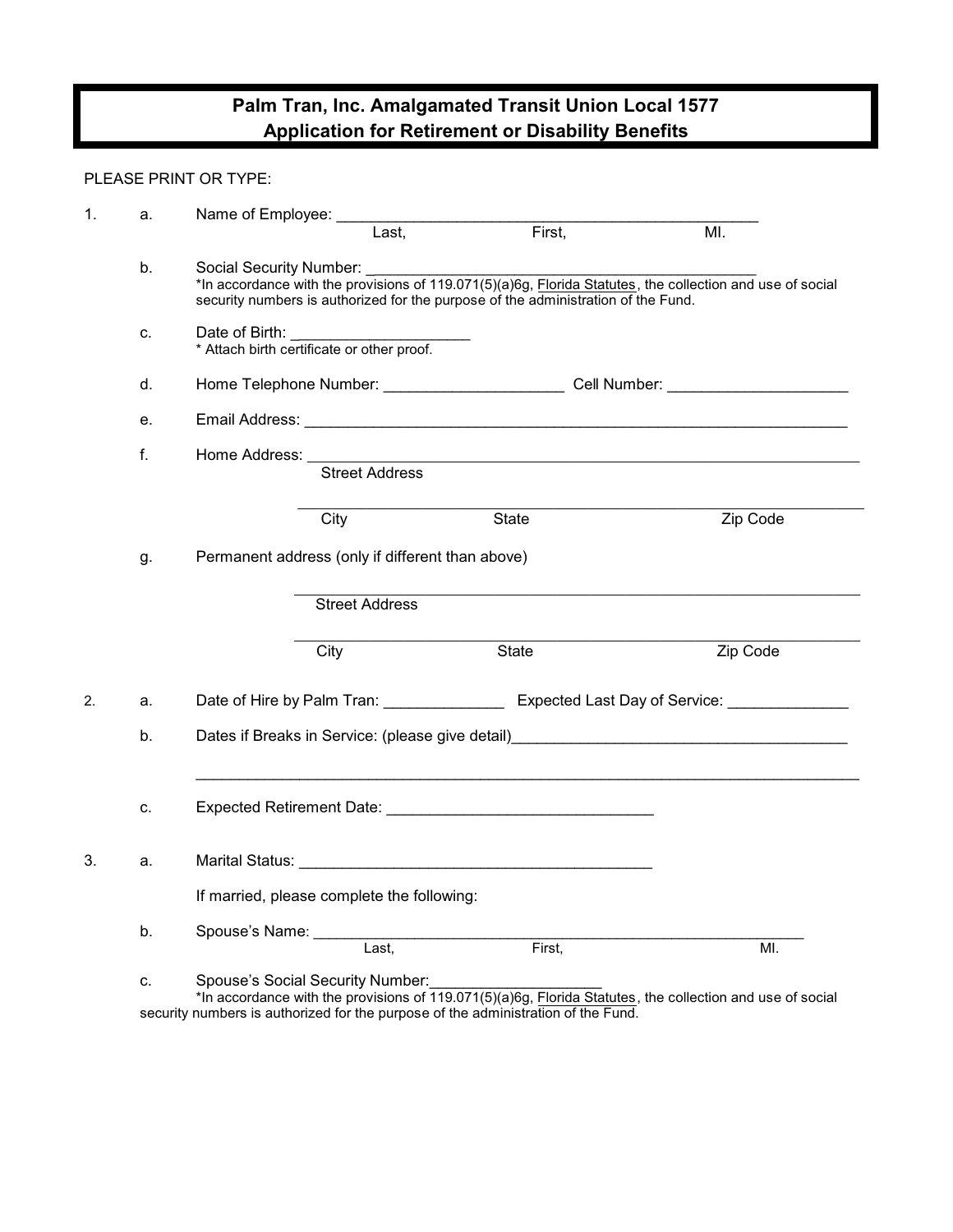# **Palm Tran, Inc. Amalgamated Transit Union Local 1577 Application for Retirement or Disability Benefits**

#### PLEASE PRINT OR TYPE:

| 1. | a. | Name of Employee: _                                                                                                                                                                                                            |        |          |  |  |
|----|----|--------------------------------------------------------------------------------------------------------------------------------------------------------------------------------------------------------------------------------|--------|----------|--|--|
|    |    | Last,                                                                                                                                                                                                                          | First, | MI.      |  |  |
|    | b. | Social Security Number:<br>*In accordance with the provisions of 119.071(5)(a)6g, Florida Statutes, the collection and use of social<br>security numbers is authorized for the purpose of the administration of the Fund.      |        |          |  |  |
|    | c. | Date of Birth:<br>* Attach birth certificate or other proof.                                                                                                                                                                   |        |          |  |  |
|    | d. | Home Telephone Number: ________________________________Cell Number: ________________________________                                                                                                                           |        |          |  |  |
|    | е. |                                                                                                                                                                                                                                |        |          |  |  |
|    | f. | Home Address: __________<br><b>Street Address</b>                                                                                                                                                                              |        |          |  |  |
|    |    | City                                                                                                                                                                                                                           | State  | Zip Code |  |  |
|    | g. |                                                                                                                                                                                                                                |        |          |  |  |
|    |    | <b>Street Address</b>                                                                                                                                                                                                          |        |          |  |  |
|    |    | City                                                                                                                                                                                                                           | State  | Zip Code |  |  |
| 2. | a. | Date of Hire by Palm Tran: National Charles Expected Last Day of Service: National Charles Charles Charles Charles Charles Charles Charles Charles Charles Charles Charles Charles Charles Charles Charles Charles Charles Cha |        |          |  |  |
|    | b. | Dates if Breaks in Service: (please give detail) [2010] [2010] [2010] [2010] [2010] [2010] [2010] [2010] [2010                                                                                                                 |        |          |  |  |
|    | C. | Expected Retirement Date: Manual According to the Contract of the Contract of the Contract of the Contract of                                                                                                                  |        |          |  |  |
| 3. | a. |                                                                                                                                                                                                                                |        |          |  |  |
|    |    | If married, please complete the following:                                                                                                                                                                                     |        |          |  |  |
|    | b. | Spouse's Name: _____<br>$\overline{\mathsf{Last}}$ .                                                                                                                                                                           | First, | MI.      |  |  |
|    | C. | Spouse's Social Security Number:<br>*In accordance with the provisions of 119.071(5)(a)6g, Florida Statutes, the collection and use of social                                                                                  |        |          |  |  |

security numbers is authorized for the purpose of the administration of the Fund.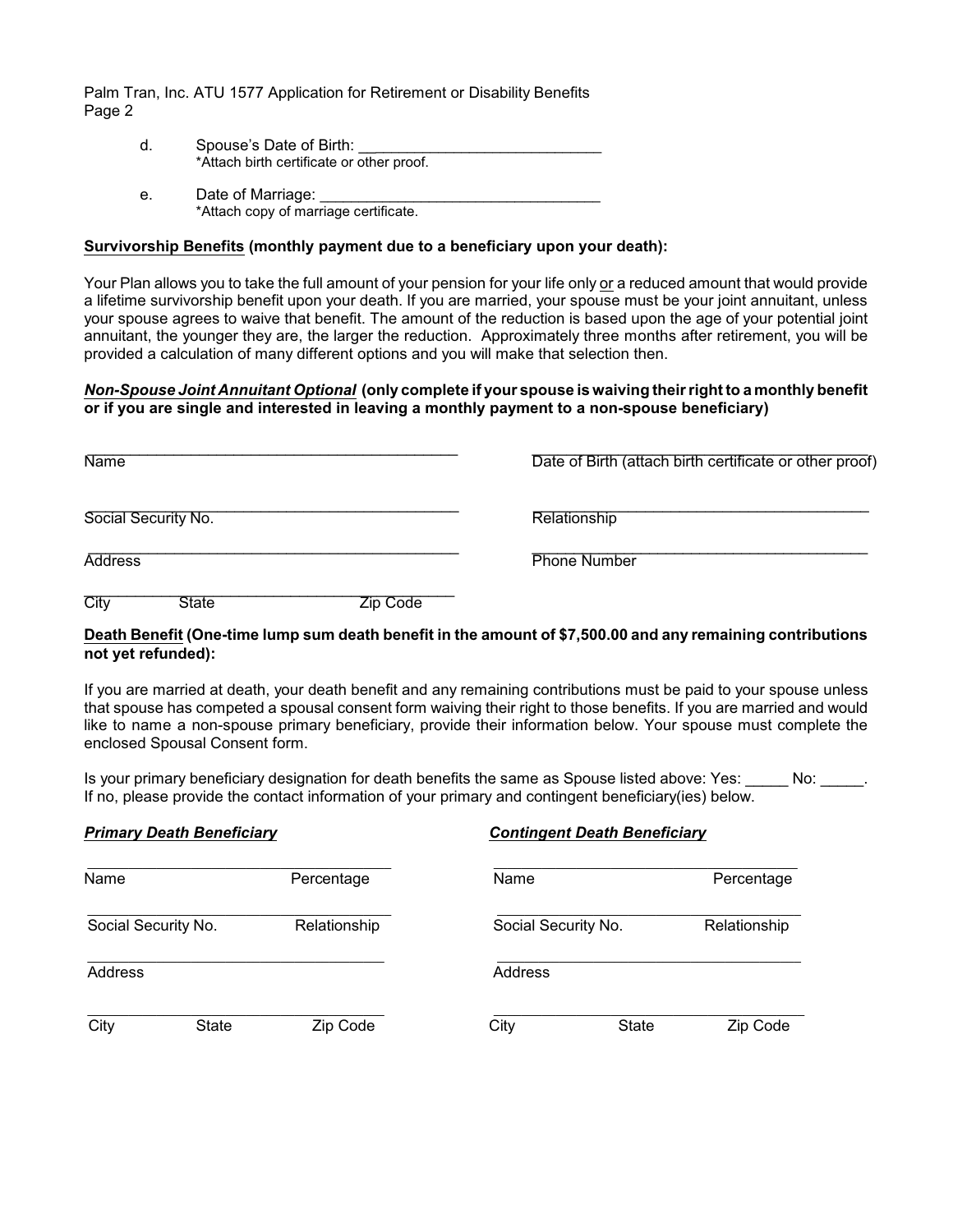- d. Spouse's Date of Birth: \*Attach birth certificate or other proof.
- e. Date of Marriage: \*Attach copy of marriage certificate.

#### **Survivorship Benefits (monthly payment due to a beneficiary upon your death):**

Your Plan allows you to take the full amount of your pension for your life only or a reduced amount that would provide a lifetime survivorship benefit upon your death. If you are married, your spouse must be your joint annuitant, unless your spouse agrees to waive that benefit. The amount of the reduction is based upon the age of your potential joint annuitant, the younger they are, the larger the reduction. Approximately three months after retirement, you will be provided a calculation of many different options and you will make that selection then.

#### *Non-Spouse Joint Annuitant Optional* **(only complete if your spouse is waiving their right to a monthly benefit or if you are single and interested in leaving a monthly payment to a non-spouse beneficiary)**

| <b>Name</b>                | Date of Birth (attach birth certificate or other proof) |
|----------------------------|---------------------------------------------------------|
| Social Security No.        | Relationship                                            |
| <b>Address</b>             | <b>Phone Number</b>                                     |
| City<br>State<br>′in Code. |                                                         |

#### **Death Benefit (One-time lump sum death benefit in the amount of \$7,500.00 and any remaining contributions not yet refunded):**

If you are married at death, your death benefit and any remaining contributions must be paid to your spouse unless that spouse has competed a spousal consent form waiving their right to those benefits. If you are married and would like to name a non-spouse primary beneficiary, provide their information below. Your spouse must complete the enclosed Spousal Consent form.

Is your primary beneficiary designation for death benefits the same as Spouse listed above: Yes: \_\_\_\_\_\_ No: If no, please provide the contact information of your primary and contingent beneficiary(ies) below.

## *Primary Death Beneficiary Contingent Death Beneficiary*  \_\_\_\_\_\_\_\_\_\_\_\_\_\_\_\_\_\_\_\_\_\_\_\_\_\_\_\_\_\_\_\_\_\_\_\_\_\_\_\_\_\_\_\_ \_\_\_\_\_\_\_\_\_\_\_\_\_\_\_\_\_\_\_\_\_\_\_\_\_\_\_\_\_\_\_\_\_\_\_\_\_\_\_\_\_\_\_\_ Name Percentage Name Percentage \_\_\_\_\_\_\_\_\_\_\_\_\_\_\_\_\_\_\_\_\_\_\_\_\_\_\_\_\_\_\_\_\_\_\_\_\_\_\_\_\_\_\_\_ \_\_\_\_\_\_\_\_\_\_\_\_\_\_\_\_\_\_\_\_\_\_\_\_\_\_\_\_\_\_\_\_\_\_\_\_\_\_\_\_\_\_\_\_ Social Security No. **Relationship** Social Security No. Relationship Relationship \_\_\_\_\_\_\_\_\_\_\_\_\_\_\_\_\_\_\_\_\_\_\_\_\_\_\_\_\_\_\_\_\_\_\_\_\_\_\_\_\_\_\_ \_\_\_\_\_\_\_\_\_\_\_\_\_\_\_\_\_\_\_\_\_\_\_\_\_\_\_\_\_\_\_\_\_\_\_\_\_\_\_\_\_\_\_\_ Address Address Address Address Address Address Address Address Address Address Address Address Address Address A \_\_\_\_\_\_\_\_\_\_\_\_\_\_\_\_\_\_\_\_\_\_\_\_\_\_\_\_\_\_\_\_\_\_\_\_\_\_\_\_\_\_\_ \_\_\_\_\_\_\_\_\_\_\_\_\_\_\_\_\_\_\_\_\_\_\_\_\_\_\_\_\_\_\_\_\_\_\_\_\_\_\_\_\_\_\_\_\_ City State Zip Code City State Zip Code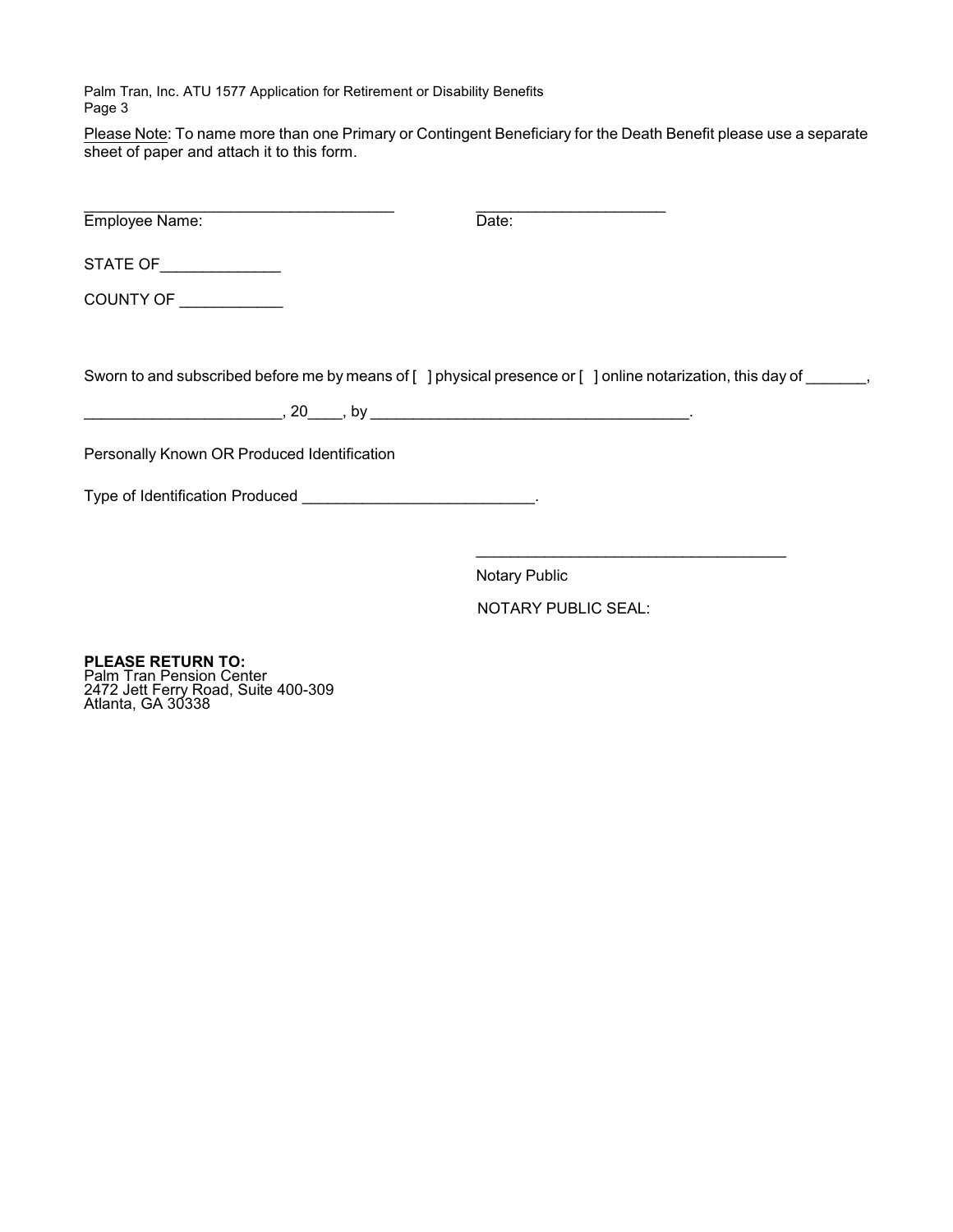Please Note: To name more than one Primary or Contingent Beneficiary for the Death Benefit please use a separate sheet of paper and attach it to this form.

| Employee Name:                              | Date:                                                                                                              |
|---------------------------------------------|--------------------------------------------------------------------------------------------------------------------|
| STATE OF ______________                     |                                                                                                                    |
| COUNTY OF __________                        |                                                                                                                    |
|                                             |                                                                                                                    |
|                                             | Sworn to and subscribed before me by means of [ ] physical presence or [ ] online notarization, this day of ______ |
|                                             |                                                                                                                    |
| Personally Known OR Produced Identification |                                                                                                                    |
|                                             |                                                                                                                    |
|                                             |                                                                                                                    |
|                                             | <b>Notary Public</b>                                                                                               |

NOTARY PUBLIC SEAL:

**PLEASE RETURN TO:** Palm Tran Pension Center 2472 Jett Ferry Road, Suite 400-309 Atlanta, GA 30338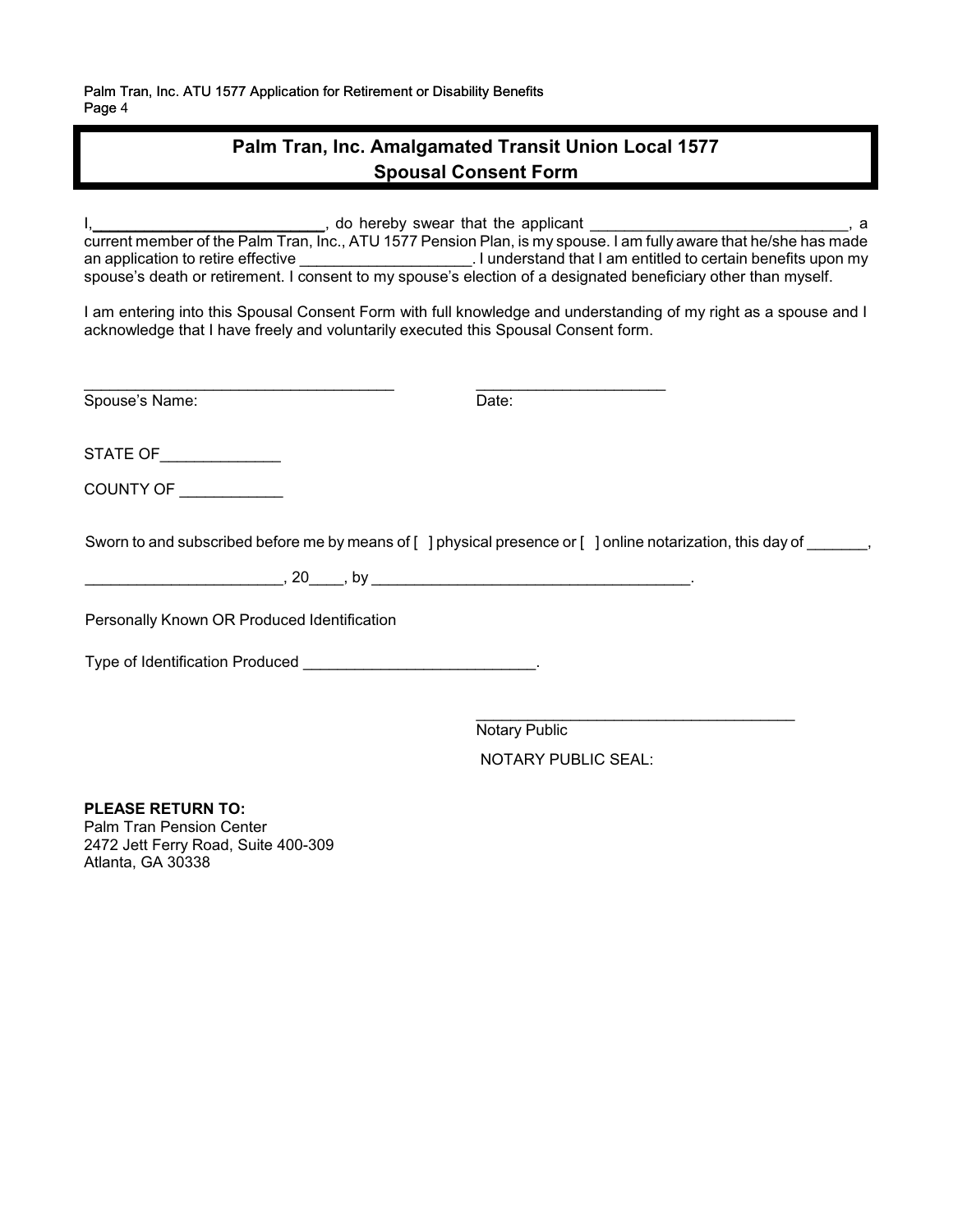## **Palm Tran, Inc. Amalgamated Transit Union Local 1577 Spousal Consent Form**

I, to hereby swear that the applicant the strategy and the strategy and the strategy and the strategy and the strategy and the strategy and the strategy and the strategy and the strategy and the strategy and the strategy a current member of the Palm Tran, Inc., ATU 1577 Pension Plan, is my spouse. I am fully aware that he/she has made an application to retire effective **Exercise 20** and understand that I am entitled to certain benefits upon my spouse's death or retirement. I consent to my spouse's election of a designated beneficiary other than myself.

I am entering into this Spousal Consent Form with full knowledge and understanding of my right as a spouse and I acknowledge that I have freely and voluntarily executed this Spousal Consent form.

Spouse's Name: Date: Date:

 $\frac{1}{2}$  ,  $\frac{1}{2}$  ,  $\frac{1}{2}$  ,  $\frac{1}{2}$  ,  $\frac{1}{2}$  ,  $\frac{1}{2}$  ,  $\frac{1}{2}$  ,  $\frac{1}{2}$  ,  $\frac{1}{2}$  ,  $\frac{1}{2}$  ,  $\frac{1}{2}$  ,  $\frac{1}{2}$  ,  $\frac{1}{2}$  ,  $\frac{1}{2}$  ,  $\frac{1}{2}$  ,  $\frac{1}{2}$  ,  $\frac{1}{2}$  ,  $\frac{1}{2}$  ,  $\frac{1$ 

STATE OF

COUNTY OF \_\_\_\_\_\_\_\_\_\_\_\_

Sworn to and subscribed before me by means of  $\lceil \cdot \rceil$  physical presence or  $\lceil \cdot \rceil$  online notarization, this day of

\_\_\_\_\_\_\_\_\_\_\_\_\_\_\_\_\_\_\_\_\_\_\_, 20\_\_\_\_, by \_\_\_\_\_\_\_\_\_\_\_\_\_\_\_\_\_\_\_\_\_\_\_\_\_\_\_\_\_\_\_\_\_\_\_\_\_.

Personally Known OR Produced Identification

Type of Identification Produced \_\_\_\_\_\_\_\_\_\_\_\_\_\_\_\_\_\_\_\_\_\_\_\_\_\_\_\_\_\_\_.

\_\_\_\_\_\_\_\_\_\_\_\_\_\_\_\_\_\_\_\_\_\_\_\_\_\_\_\_\_\_\_\_\_\_\_\_\_ Notary Public NOTARY PUBLIC SEAL:

**PLEASE RETURN TO:** Palm Tran Pension Center 2472 Jett Ferry Road, Suite 400-309 Atlanta, GA 30338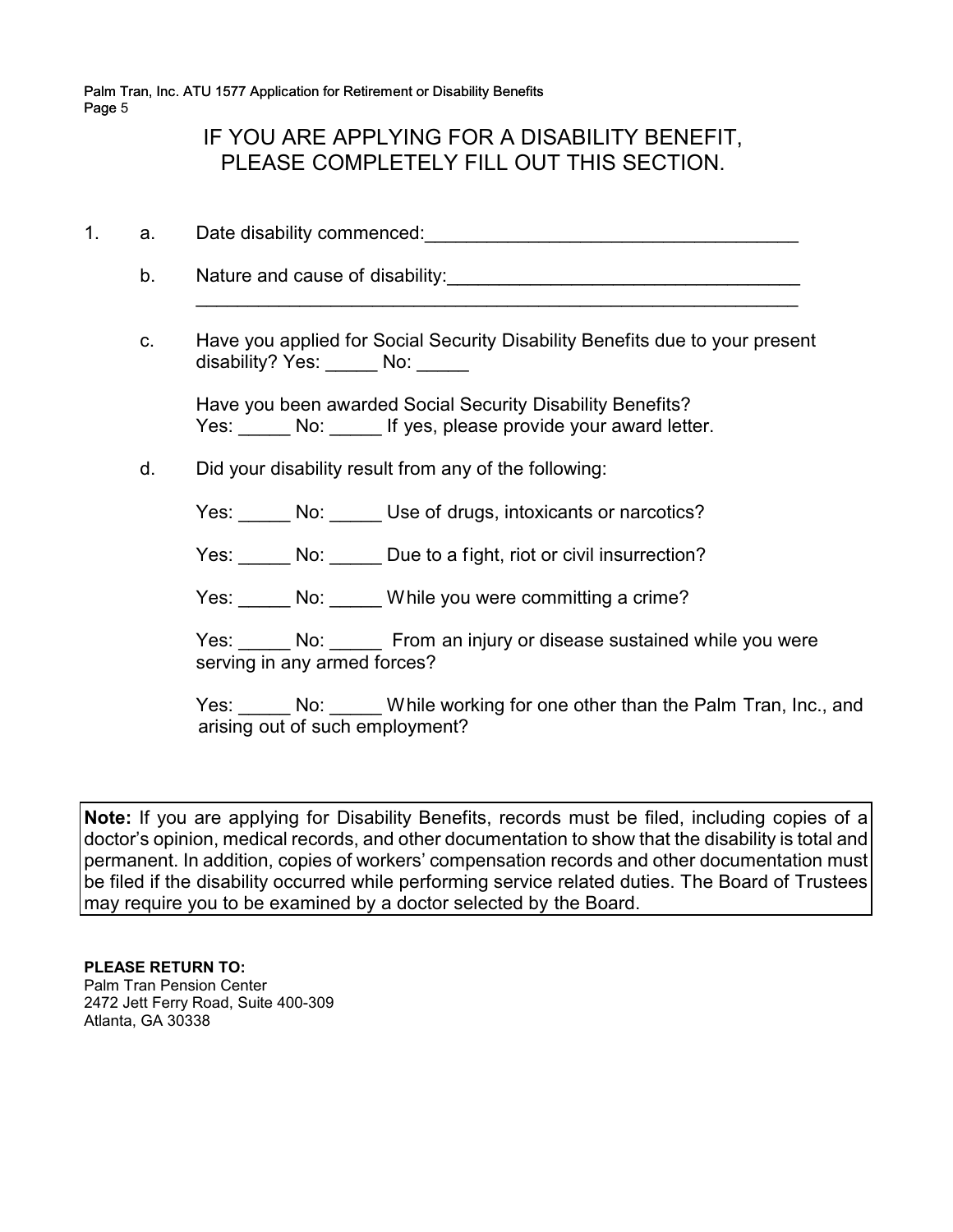## IF YOU ARE APPLYING FOR A DISABILITY BENEFIT, PLEASE COMPLETELY FILL OUT THIS SECTION.

- 1. a. Date disability commenced:\_\_\_\_\_\_\_\_\_\_\_\_\_\_\_\_\_\_\_\_\_\_\_\_\_\_\_\_\_\_\_\_\_\_\_\_
	- b. Nature and cause of disability:  $\Box$
	- c. Have you applied for Social Security Disability Benefits due to your present disability? Yes: No: No:

\_\_\_\_\_\_\_\_\_\_\_\_\_\_\_\_\_\_\_\_\_\_\_\_\_\_\_\_\_\_\_\_\_\_\_\_\_\_\_\_\_\_\_\_\_\_\_\_\_\_\_\_\_\_\_\_\_\_

Have you been awarded Social Security Disability Benefits? Yes: No: No: If yes, please provide your award letter.

d. Did your disability result from any of the following:

Yes: No: Use of drugs, intoxicants or narcotics?

Yes: No: Due to a fight, riot or civil insurrection?

Yes: No: While you were committing a crime?

Yes: No: No: From an injury or disease sustained while you were serving in any armed forces?

Yes: No: While working for one other than the Palm Tran, Inc., and arising out of such employment?

**Note:** If you are applying for Disability Benefits, records must be filed, including copies of a doctor's opinion, medical records, and other documentation to show that the disability is total and permanent. In addition, copies of workers' compensation records and other documentation must be filed if the disability occurred while performing service related duties. The Board of Trustees may require you to be examined by a doctor selected by the Board.

**PLEASE RETURN TO:** Palm Tran Pension Center 2472 Jett Ferry Road, Suite 400-309 Atlanta, GA 30338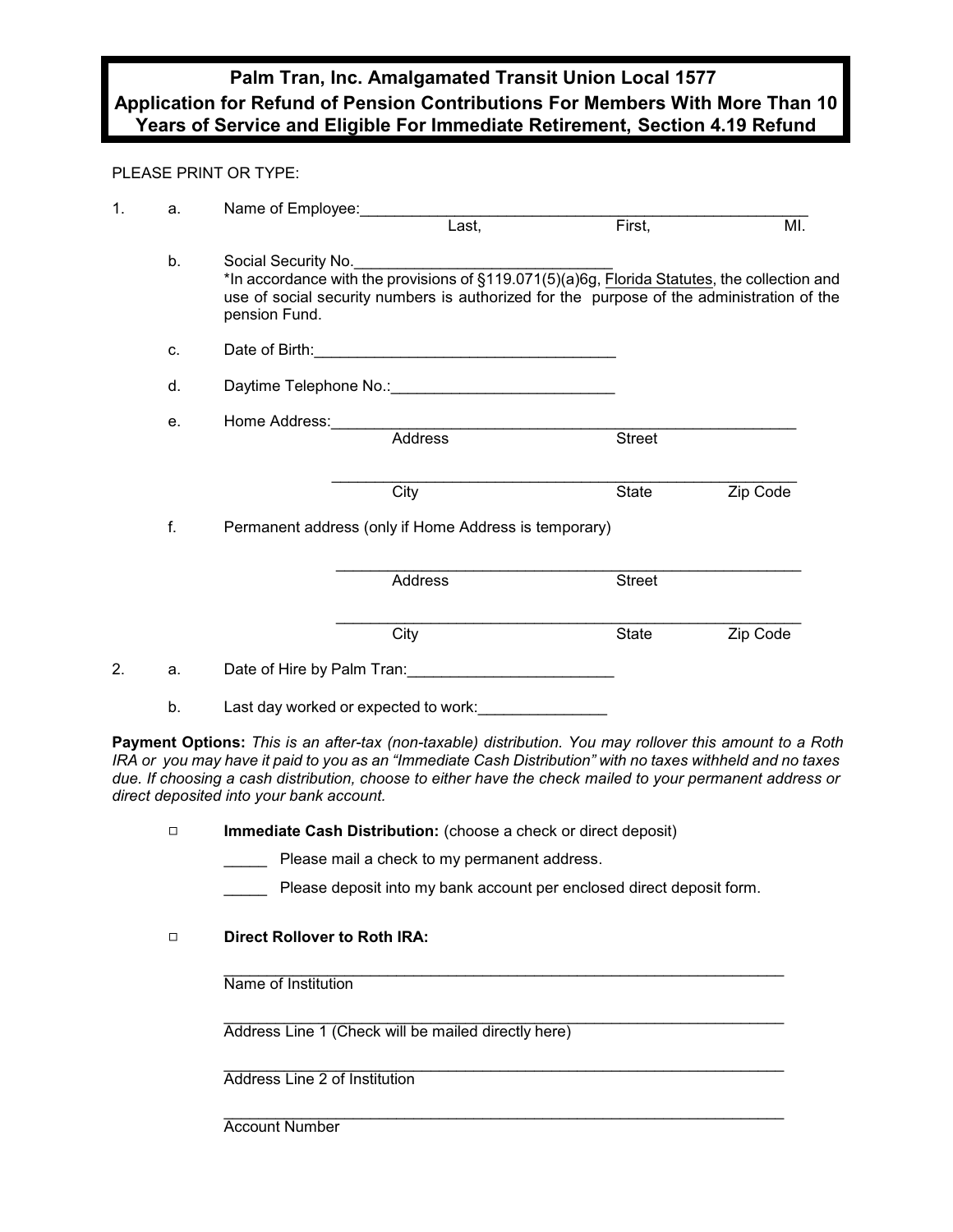## **Palm Tran, Inc. Amalgamated Transit Union Local 1577 Application for Refund of Pension Contributions For Members With More Than 10 Years of Service and Eligible For Immediate Retirement, Section 4.19 Refund**

#### PLEASE PRINT OR TYPE:

| 1. | a. | Name of Employee: |                                                                                                                                                                                                                  |               |          |
|----|----|-------------------|------------------------------------------------------------------------------------------------------------------------------------------------------------------------------------------------------------------|---------------|----------|
|    |    |                   | Last,                                                                                                                                                                                                            | First,        | MI.      |
|    | b. | pension Fund.     | Social Security No.<br>*In accordance with the provisions of §119.071(5)(a)6g, Florida Statutes, the collection and<br>use of social security numbers is authorized for the purpose of the administration of the |               |          |
|    | c. |                   |                                                                                                                                                                                                                  |               |          |
|    | d. |                   |                                                                                                                                                                                                                  |               |          |
|    | е. |                   |                                                                                                                                                                                                                  |               |          |
|    |    |                   | Address                                                                                                                                                                                                          | <b>Street</b> |          |
|    |    |                   | City                                                                                                                                                                                                             | State         | Zip Code |
|    | f. |                   | Permanent address (only if Home Address is temporary)                                                                                                                                                            |               |          |
|    |    |                   | Address                                                                                                                                                                                                          | <b>Street</b> |          |
|    |    |                   | City                                                                                                                                                                                                             | State         | Zip Code |
| 2. | a. |                   | Date of Hire by Palm Tran: Date of Hire by Palm Tran:                                                                                                                                                            |               |          |
|    | b. |                   | Last day worked or expected to work:                                                                                                                                                                             |               |          |

**Payment Options:** *This is an after-tax (non-taxable) distribution. You may rollover this amount to a Roth IRA or you may have it paid to you as an "Immediate Cash Distribution" with no taxes withheld and no taxes due. If choosing a cash distribution, choose to either have the check mailed to your permanent address or direct deposited into your bank account.* 

- 9 **Immediate Cash Distribution:** (choose a check or direct deposit)
	- Please mail a check to my permanent address.
	- Please deposit into my bank account per enclosed direct deposit form.

### 9 **Direct Rollover to Roth IRA:**

\_\_\_\_\_\_\_\_\_\_\_\_\_\_\_\_\_\_\_\_\_\_\_\_\_\_\_\_\_\_\_\_\_\_\_\_\_\_\_\_\_\_\_\_\_\_\_\_\_\_\_\_\_\_\_\_\_\_\_\_\_\_\_\_\_ Name of Institution

 \_\_\_\_\_\_\_\_\_\_\_\_\_\_\_\_\_\_\_\_\_\_\_\_\_\_\_\_\_\_\_\_\_\_\_\_\_\_\_\_\_\_\_\_\_\_\_\_\_\_\_\_\_\_\_\_\_\_\_\_\_\_\_\_\_ Address Line 1 (Check will be mailed directly here)

\_\_\_\_\_\_\_\_\_\_\_\_\_\_\_\_\_\_\_\_\_\_\_\_\_\_\_\_\_\_\_\_\_\_\_\_\_\_\_\_\_\_\_\_\_\_\_\_\_\_\_\_\_\_\_\_\_\_\_\_\_\_\_\_\_ Address Line 2 of Institution

\_\_\_\_\_\_\_\_\_\_\_\_\_\_\_\_\_\_\_\_\_\_\_\_\_\_\_\_\_\_\_\_\_\_\_\_\_\_\_\_\_\_\_\_\_\_\_\_\_\_\_\_\_\_\_\_\_\_\_\_\_\_\_\_\_ Account Number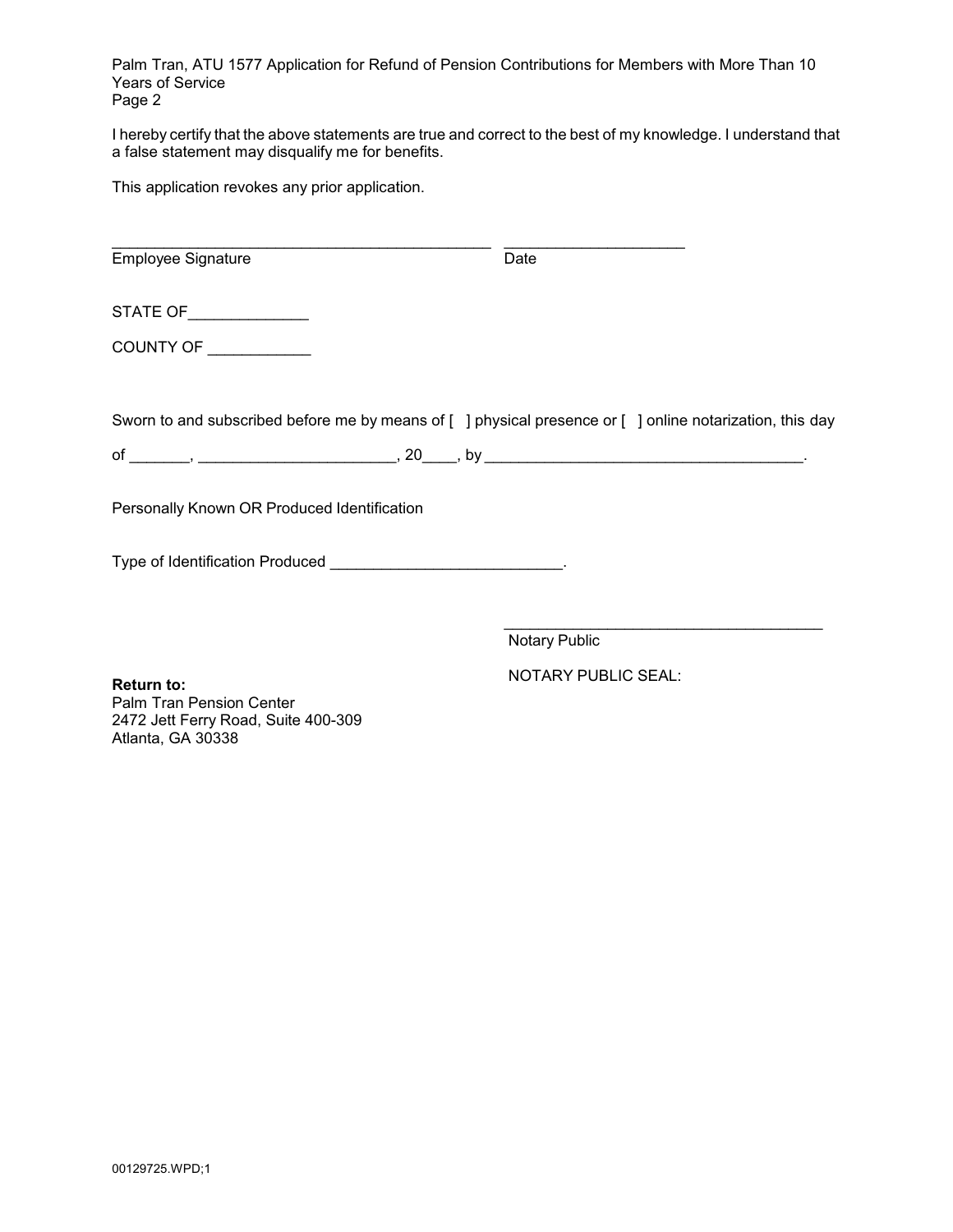Palm Tran, ATU 1577 Application for Refund of Pension Contributions for Members with More Than 10 Years of Service Page 2

I hereby certify that the above statements are true and correct to the best of my knowledge. I understand that a false statement may disqualify me for benefits.

This application revokes any prior application.

| Employee Signature                          | Date |                                                                                                          |
|---------------------------------------------|------|----------------------------------------------------------------------------------------------------------|
| STATE OF _______________                    |      |                                                                                                          |
| COUNTY OF ___________                       |      |                                                                                                          |
|                                             |      | Sworn to and subscribed before me by means of [ ] physical presence or [ ] online notarization, this day |
|                                             |      |                                                                                                          |
| Personally Known OR Produced Identification |      |                                                                                                          |
|                                             |      |                                                                                                          |

Notary Public

 NOTARY PUBLIC SEAL: **Return to:** Palm Tran Pension Center 2472 Jett Ferry Road, Suite 400-309 Atlanta, GA 30338

\_\_\_\_\_\_\_\_\_\_\_\_\_\_\_\_\_\_\_\_\_\_\_\_\_\_\_\_\_\_\_\_\_\_\_\_\_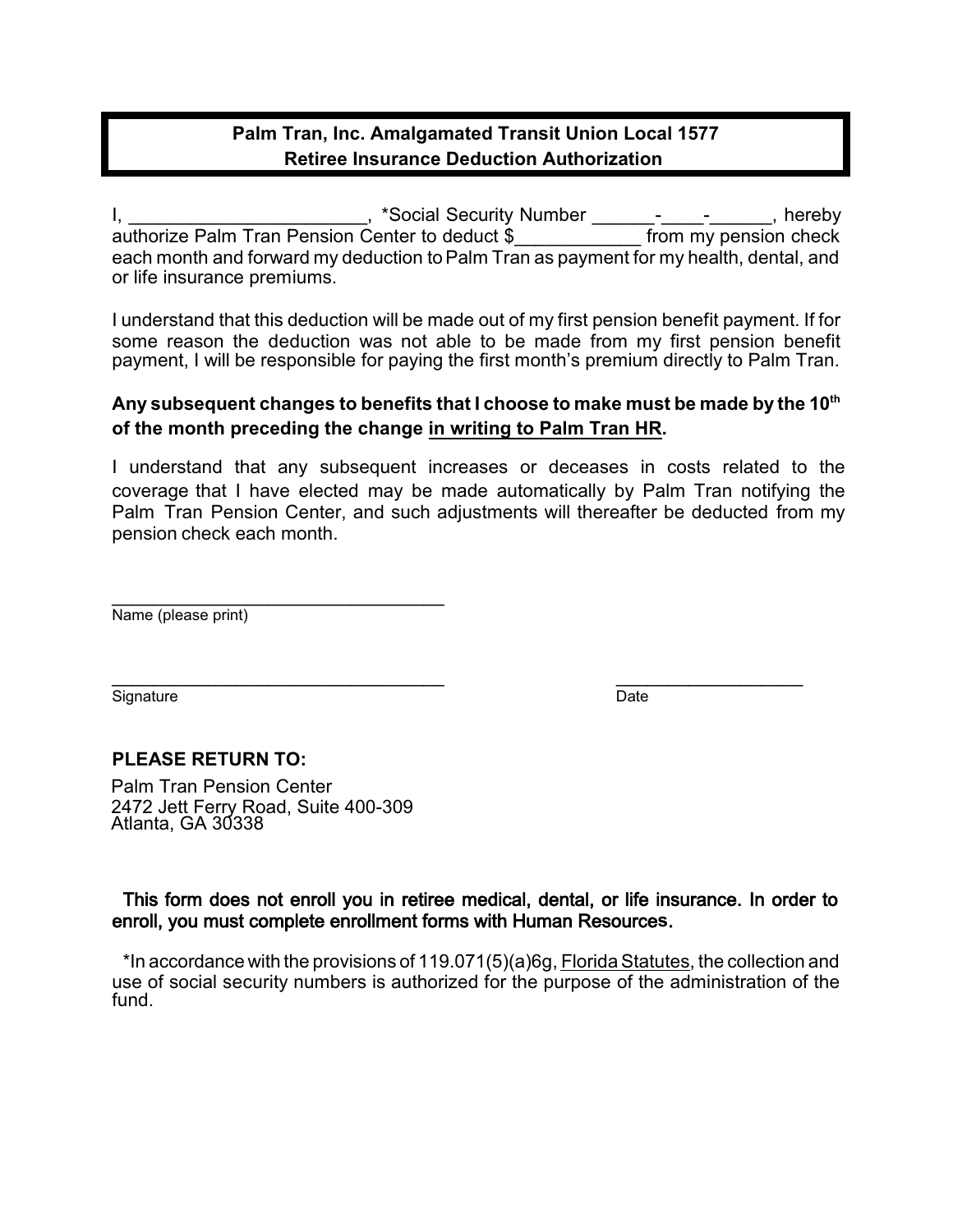## **Palm Tran, Inc. Amalgamated Transit Union Local 1577 Retiree Insurance Deduction Authorization**

I, All Allen Contract Assembly the Mumber Contract Contract Assembly the Mumber  $\frac{1}{2}$  and  $\frac{1}{2}$  are  $\frac{1}{2}$  and  $\frac{1}{2}$  are  $\frac{1}{2}$  are  $\frac{1}{2}$  are  $\frac{1}{2}$  are  $\frac{1}{2}$  are  $\frac{1}{2}$  are  $\frac{1}{2}$  are  $\$ authorize Palm Tran Pension Center to deduct \$ from my pension check each month and forward my deduction to Palm Tran as payment for my health, dental, and or life insurance premiums.

I understand that this deduction will be made out of my first pension benefit payment. If for some reason the deduction was not able to be made from my first pension benefit payment, I will be responsible for paying the first month's premium directly to Palm Tran.

### **Any subsequent changes to benefits that I choose to make must be made by the 10th of the month preceding the change in writing to Palm Tran HR.**

I understand that any subsequent increases or deceases in costs related to the coverage that I have elected may be made automatically by Palm Tran notifying the Palm Tran Pension Center, and such adjustments will thereafter be deducted from my pension check each month.

\_\_\_\_\_\_\_\_\_\_\_\_\_\_\_\_\_\_\_\_\_\_\_\_\_\_\_\_\_\_\_\_ Name (please print)

Signature Date

 $\overline{\phantom{a}}$  , and the contract of the contract of  $\overline{\phantom{a}}$ 

### **PLEASE RETURN TO:**

Palm Tran Pension Center 2472 Jett Ferry Road, Suite 400-309 Atlanta, GA 30338

### This form does not enroll you in retiree medical, dental, or life insurance. In order to enroll, you must complete enrollment forms with Human Resource**s**.

\*In accordance with the provisions of 119.071(5)(a)6g, Florida Statutes, the collection and use of social security numbers is authorized for the purpose of the administration of the fund.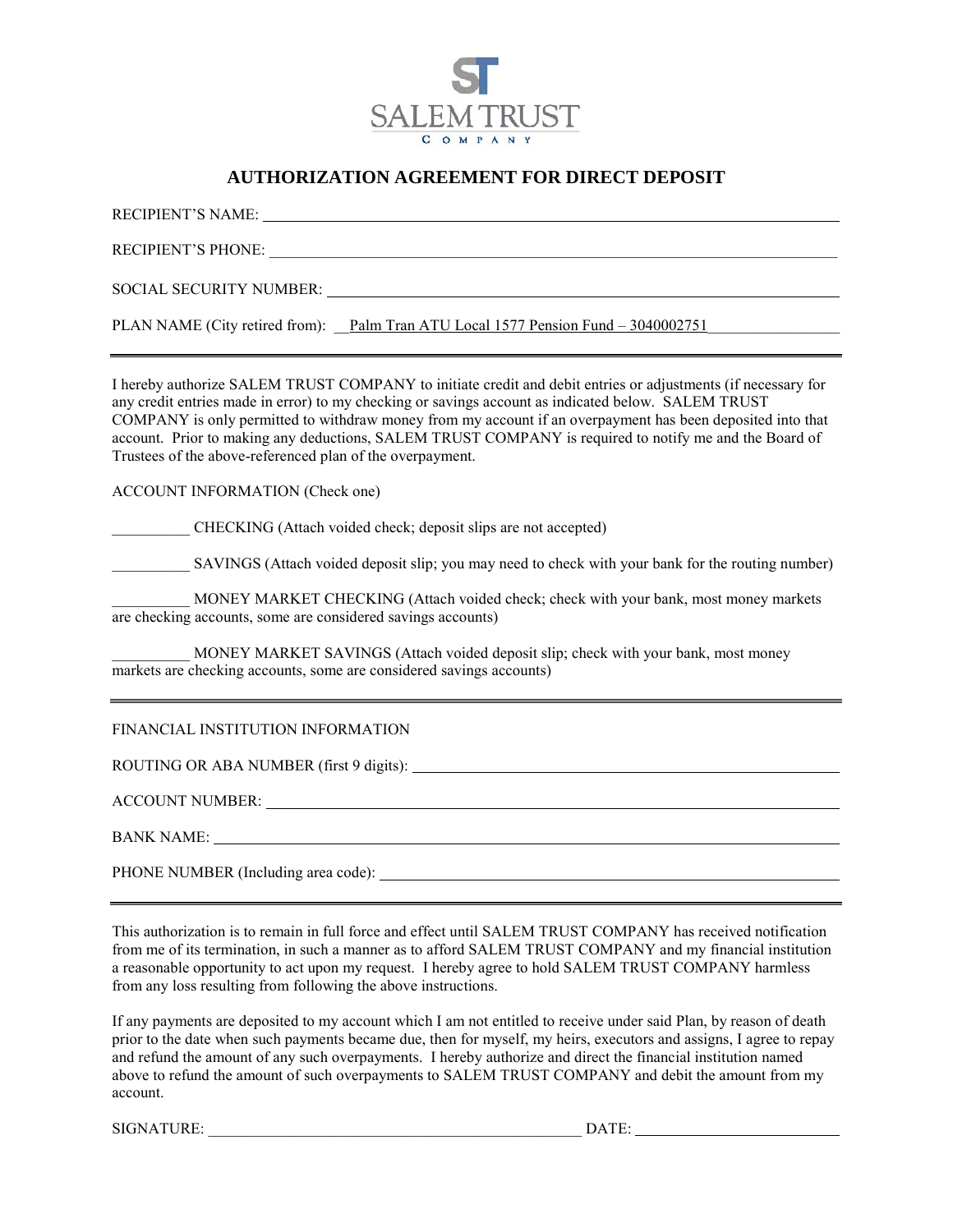

### **AUTHORIZATION AGREEMENT FOR DIRECT DEPOSIT**

| RECIPIENT'S NAME:                                                                 |  |
|-----------------------------------------------------------------------------------|--|
| <b>RECIPIENT'S PHONE:</b>                                                         |  |
| SOCIAL SECURITY NUMBER:                                                           |  |
| PLAN NAME (City retired from): Palm Tran ATU Local 1577 Pension Fund – 3040002751 |  |

I hereby authorize SALEM TRUST COMPANY to initiate credit and debit entries or adjustments (if necessary for any credit entries made in error) to my checking or savings account as indicated below. SALEM TRUST COMPANY is only permitted to withdraw money from my account if an overpayment has been deposited into that account. Prior to making any deductions, SALEM TRUST COMPANY is required to notify me and the Board of Trustees of the above-referenced plan of the overpayment.

ACCOUNT INFORMATION (Check one)

\_\_\_\_\_\_\_\_\_\_ CHECKING (Attach voided check; deposit slips are not accepted)

\_\_\_\_\_\_\_\_\_\_ SAVINGS (Attach voided deposit slip; you may need to check with your bank for the routing number)

MONEY MARKET CHECKING (Attach voided check; check with your bank, most money markets are checking accounts, some are considered savings accounts)

MONEY MARKET SAVINGS (Attach voided deposit slip; check with your bank, most money markets are checking accounts, some are considered savings accounts)

#### FINANCIAL INSTITUTION INFORMATION

ROUTING OR ABA NUMBER (first 9 digits):

ACCOUNT NUMBER:

BANK NAME:

PHONE NUMBER (Including area code):

This authorization is to remain in full force and effect until SALEM TRUST COMPANY has received notification from me of its termination, in such a manner as to afford SALEM TRUST COMPANY and my financial institution a reasonable opportunity to act upon my request. I hereby agree to hold SALEM TRUST COMPANY harmless from any loss resulting from following the above instructions.

If any payments are deposited to my account which I am not entitled to receive under said Plan, by reason of death prior to the date when such payments became due, then for myself, my heirs, executors and assigns, I agree to repay and refund the amount of any such overpayments. I hereby authorize and direct the financial institution named above to refund the amount of such overpayments to SALEM TRUST COMPANY and debit the amount from my account.

SIGNATURE: \_\_\_\_\_\_\_\_\_\_\_\_\_\_\_\_\_\_\_\_\_\_\_\_\_\_\_\_\_\_\_\_\_\_\_\_\_\_\_\_\_\_\_\_\_\_\_\_ DATE: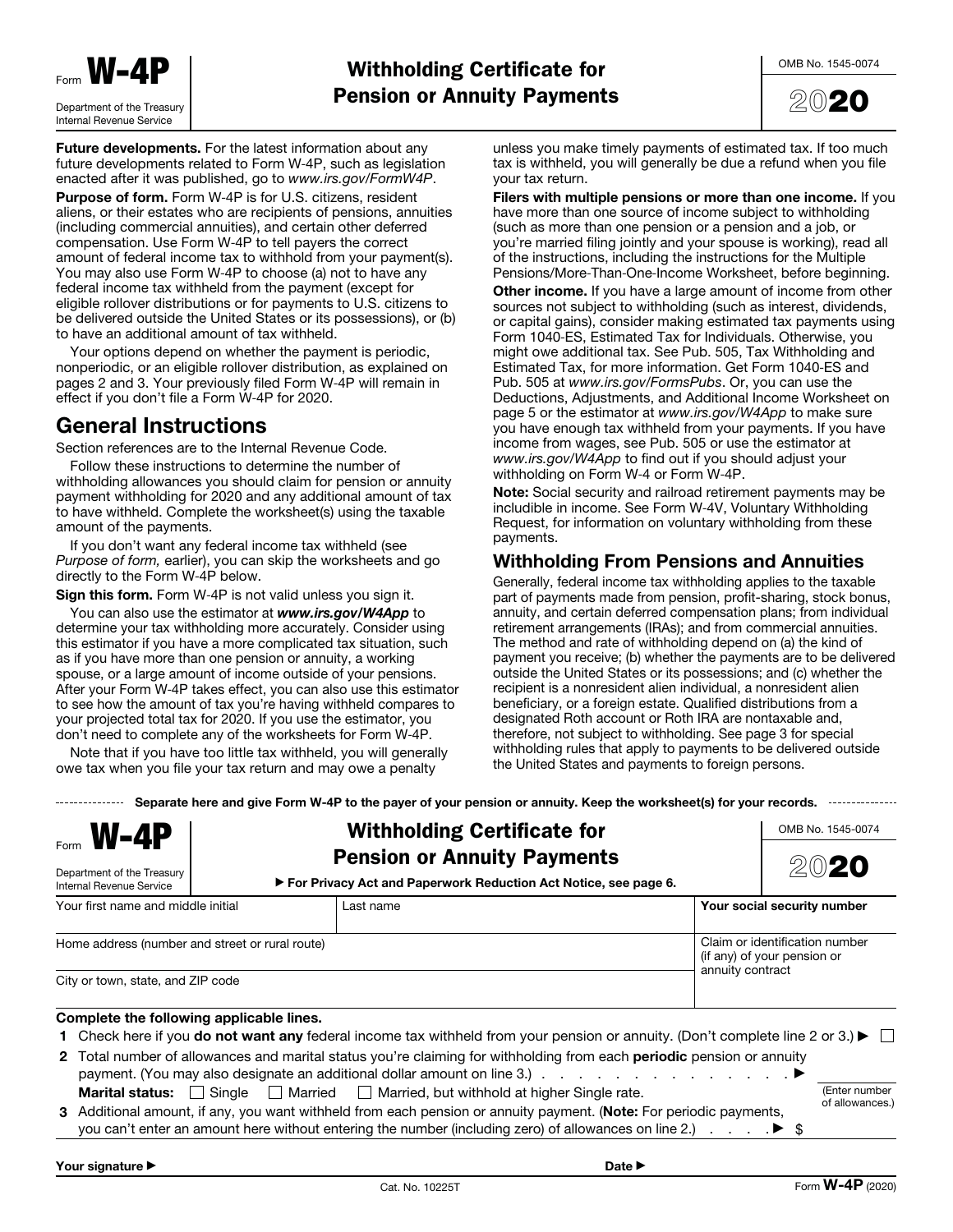



**Future developments.** For the latest information about any future developments related to Form W-4P, such as legislation enacted after it was published, go to www.irs.gov/FormW4P.

**Purpose of form.** Form W-4P is for U.S. citizens, resident aliens, or their estates who are recipients of pensions, annuities (including commercial annuities), and certain other deferred compensation. Use Form W-4P to tell payers the correct amount of federal income tax to withhold from your payment(s). You may also use Form W-4P to choose (a) not to have any federal income tax withheld from the payment (except for eligible rollover distributions or for payments to U.S. citizens to be delivered outside the United States or its possessions), or (b) to have an additional amount of tax withheld.

Your options depend on whether the payment is periodic, nonperiodic, or an eligible rollover distribution, as explained on pages 2 and 3. Your previously filed Form W-4P will remain in effect if you don't file a Form W-4P for 2020.

## **General Instructions**

Section references are to the Internal Revenue Code.

Follow these instructions to determine the number of withholding allowances you should claim for pension or annuity payment withholding for 2020 and any additional amount of tax to have withheld. Complete the worksheet(s) using the taxable amount of the payments.

If you don't want any federal income tax withheld (see Purpose of form, earlier), you can skip the worksheets and go directly to the Form W-4P below.

**Sign this form.** Form W-4P is not valid unless you sign it.

You can also use the estimator at *www.irs.gov/W4App* to determine your tax withholding more accurately. Consider using this estimator if you have a more complicated tax situation, such as if you have more than one pension or annuity, a working spouse, or a large amount of income outside of your pensions. After your Form W-4P takes effect, you can also use this estimator to see how the amount of tax you're having withheld compares to your projected total tax for 2020. If you use the estimator, you don't need to complete any of the worksheets for Form W͈4P.

Note that if you have too little tax withheld, you will generally owe tax when you file your tax return and may owe a penalty

unless you make timely payments of estimated tax. If too much tax is withheld, you will generally be due a refund when you file your tax return.

**Filers with multiple pensions or more than one income.** If you have more than one source of income subject to withholding (such as more than one pension or a pension and a job, or you're married filing jointly and your spouse is working), read all of the instructions, including the instructions for the Multiple Pensions/More-Than-One-Income Worksheet, before beginning. **Other income.** If you have a large amount of income from other sources not subject to withholding (such as interest, dividends, or capital gains), consider making estimated tax payments using Form 1040-ES, Estimated Tax for Individuals. Otherwise, you might owe additional tax. See Pub. 505, Tax Withholding and Estimated Tax, for more information. Get Form 1040-ES and Pub. 505 at www.irs.gov/FormsPubs. Or, you can use the Deductions, Adjustments, and Additional Income Worksheet on page 5 or the estimator at *www.irs.gov/W4App t*o make sure<br>you have enough tax withheld from your payments. If you have income from wages, see Pub. 505 or use the estimator at www.irs.gov/W4App to find out if you should adjust your withholding on Form W-4 or Form W-4P.

**Note:** Social security and railroad retirement payments may be includible in income. See Form W-4V, Voluntary Withholding Request, for information on voluntary withholding from these payments.

### **Withholding From Pensions and Annuities**

Generally, federal income tax withholding applies to the taxable part of payments made from pension, profit-sharing, stock bonus, annuity, and certain deferred compensation plans; from individual retirement arrangements (IRAs); and from commercial annuities. The method and rate of withholding depend on (a) the kind of payment you receive; (b) whether the payments are to be delivered outside the United States or its possessions; and (c) whether the recipient is a nonresident alien individual, a nonresident alien beneficiary, or a foreign estate. Qualified distributions from a designated Roth account or Roth IRA are nontaxable and, therefore, not subject to withholding. See page 3 for special withholding rules that apply to payments to be delivered outside the United States and payments to foreign persons.

**Separate here and give Form W-4P to the payer of your pension or annuity. Keep the worksheet(s) for your records.**

| $F_{\text{form}}$ <b>W-4P</b><br>Department of the Treasury<br>Internal Revenue Service                                                                                                                                                                                                                                                                                                    | <b>Withholding Certificate for</b><br><b>Pension or Annuity Payments</b><br>► For Privacy Act and Paperwork Reduction Act Notice, see page 6.                                                                                                                                                 | OMB No. 1545-0074           |
|--------------------------------------------------------------------------------------------------------------------------------------------------------------------------------------------------------------------------------------------------------------------------------------------------------------------------------------------------------------------------------------------|-----------------------------------------------------------------------------------------------------------------------------------------------------------------------------------------------------------------------------------------------------------------------------------------------|-----------------------------|
| Your first name and middle initial                                                                                                                                                                                                                                                                                                                                                         | Last name                                                                                                                                                                                                                                                                                     | Your social security number |
| Home address (number and street or rural route)<br>City or town, state, and ZIP code                                                                                                                                                                                                                                                                                                       | Claim or identification number<br>(if any) of your pension or<br>annuity contract                                                                                                                                                                                                             |                             |
| Complete the following applicable lines.                                                                                                                                                                                                                                                                                                                                                   |                                                                                                                                                                                                                                                                                               |                             |
|                                                                                                                                                                                                                                                                                                                                                                                            | 1 Check here if you <b>do not want any</b> federal income tax withheld from your pension or annuity. (Don't complete line 2 or 3.) $\blacktriangleright \Box$<br>2 Total number of allowances and marital status you're claiming for withholding from each <b>periodic</b> pension or annuity |                             |
| Single Married Married, but withhold at higher Single rate.<br>(Enter number<br><b>Marital status:</b><br>of allowances.)<br>3 Additional amount, if any, you want withheld from each pension or annuity payment. (Note: For periodic payments,<br>you can't enter an amount here without entering the number (including zero) of allowances on line 2.) $\ldots$ $\blacktriangleright$ \$ |                                                                                                                                                                                                                                                                                               |                             |
| Your signature ▶                                                                                                                                                                                                                                                                                                                                                                           | Date $\blacktriangleright$                                                                                                                                                                                                                                                                    |                             |